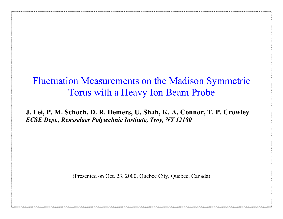# Fluctuation Measurements on the Madison Symmetric Torus with a Heavy Ion Beam Probe

**J. Lei, P. M. Schoch, D. R. Demers, U. Shah, K. A. Connor, T. P. Crowley** *ECSE Dept., Rensselaer Polytechnic Institute, Troy, NY 12180*

(Presented on Oct. 23, 2000, Quebec City, Quebec, Canada)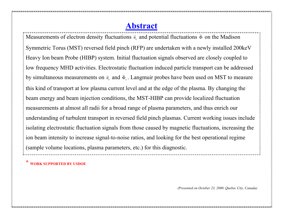#### **Abstract**

Measurements of electron density fluctuations  $\tilde{n}_e$  and potential fluctuations  $\tilde{\Phi}$  on the Madison Symmetric Torus (MST) reversed field pinch (RFP) are undertaken with a newly installed 200keV Heavy Ion beam Probe (HIBP) system. Initial fluctuation signals observed are closely coupled to low frequency MHD activities. Electrostatic fluctuation induced particle transport can be addressed by simultaneous measurements on  $\tilde{n}_e$  and  $\tilde{\Phi}_e$ . Langmuir probes have been used on MST to measure this kind of transport at low plasma current level and at the edge of the plasma. By changing the beam energy and beam injection conditions, the MST-HIBP can provide localized fluctuation measurements at almost all radii for a broad range of plasma parameters, and thus enrich our understanding of turbulent transport in reversed field pinch plasmas. Current working issues include isolating electrostatic fluctuation signals from those caused by magnetic fluctuations, increasing the ion beam intensity to increase signal-to-noise ratios, and looking for the best operational regime (sample volume locations, plasma parameters, etc.) for this diagnostic.

**\* WORK SUPPORTED BY USDOE**

*(Presented on October 23, 2000. Quebec City, Canada)*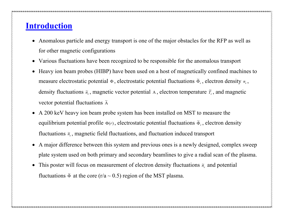#### **Introduction**

- Anomalous particle and energy transport is one of the major obstacles for the RFP as well as for other magnetic configurations
- Various fluctuations have been recognized to be responsible for the anomalous transport
- Heavy ion beam probes (HIBP) have been used on a host of magnetically confined machines to measure electrostatic potential Φ, electrostatic potential fluctuations  $\tilde{\Phi}_e$ , electron density  $n_e$ , density fluctuations  $\tilde{n}_e$ , magnetic vector potential A, electron temperature  $\tilde{T}_e$ , and magnetic vector potential fluctuations  $\tilde{A}$
- A 200 keV heavy ion beam probe system has been installed on MST to measure the equilibrium potential profile  $\Phi(r)$ , electrostatic potential fluctuations  $\tilde{\Phi}_e$ , electron density fluctuations  $\tilde{n}_e$ , magnetic field fluctuations, and fluctuation induced transport
- A major difference between this system and previous ones is a newly designed, complex sweep plate system used on both primary and secondary beamlines to give a radial scan of the plasma.
- This poster will focus on measurement of electron density fluctuations  $\tilde{n}_{e}$  and potential fluctuations  $\tilde{\Phi}$  at the core (r/a ~ 0.5) region of the MST plasma.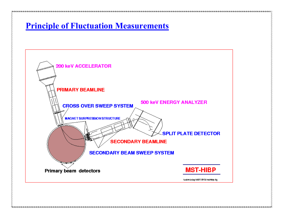#### **Principle of Fluctuation Measurements**

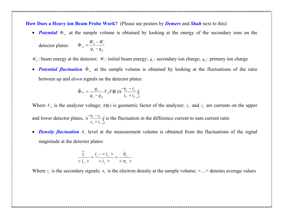**How Does a Heavy ion Beam Probe Work?** (Please see posters by *Demers* and *Shah* next to this)

• *Potential*  $\Phi_{\text{av}}$  at the sample volume is obtained by looking at the energy of the secondary ions on the

detector plates: 
$$
\Phi_{sv} = \frac{W_d - W_i}{q_s - q_p}
$$

 $W_d$ : beam energy at the detector;  $W_i$ : initial beam energy;  $q_s$ : secondary ion charge;  $q_p$ : primary ion charge

• *Potential fluctuation*  $\tilde{\Phi}_{sv}$  at the sample volume is obtained by looking at the fluctuations of the ratio between *up* and *down* signals on the detector plates:

$$
\widetilde{\Phi}_{sv} = \frac{q_s}{q_s - q_p} V_A F(\theta) \Delta \frac{-i_U - i_L}{i_U + i_L} \sqrt{\frac{q_s}{n_v}}
$$

Where  $V_A$  is the analyzer voltage;  $F(\theta)$  is geometric factor of the analyzer;  $i_U$  and  $i_L$  are currents on the upper and lower detector plates,  $\Delta \frac{\vec{t}_U - \vec{t}_L}{\vec{i}_U + \vec{i}_L} \sqrt{\frac{1}{2}}$  is the fluor  $\Delta \frac{-i_U - i_L}{i_U + i_L} \sqrt[4]{\text{ is th}}$  $U \perp \iota_L \perp$  $U = \iota_L \sqrt{2 \pi}$  $i_U + i_L$ <sup>V</sup>  $\frac{i_U - i_L}{\sqrt{2}} \sqrt{ }$  is the fluctuation in the difference current to sum current ratio

• *Density fluctuation*  $\tilde{n}_{e}$  level at the measurement volume is obtained from the fluctuations of the signal magnitude at the detector plates:

$$
\frac{\widetilde{i}_s}{\langle i_s \rangle} = \frac{i_s - \langle i_s \rangle}{\langle i_s \rangle} = \frac{\widetilde{n}_e}{\langle n_e \rangle}
$$

Where  $i_s$  is the secondary signals;  $n_e$  is the electron density at the sample volume;  $\leq \ldots$  denotes average values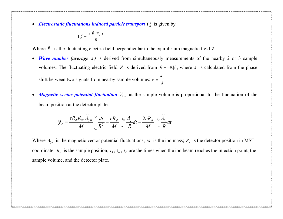• *Electrostatic fluctuations induced particle transport*  $\Gamma_{E}^{f}$  is given by

$$
\Gamma_E^f = \frac{<\widetilde{E}_{\perp} \widetilde{n}_e>}{B}
$$

Where  $\widetilde{E}_{\perp}$  is the fluctuating electric field perpendicular to the equilibrium magnetic field *B* 

• *Wave number (average k )* is derived from simultaneously measurements of the nearby 2 or 3 sample volumes. The fluctuating electric field  $\tilde{E}$  is derived from  $\tilde{E} = -ik\tilde{\phi}$ , where *k* is calculated from the phase

shift between two signals from nearby sample volumes:  $\bar{k} = \frac{\Delta_p}{d}$ 

• *Magnetic vector potential fluctuation*  $\tilde{A}_{\zeta, v}$  at the sample volume is proportional to the fluctuation of the beam position at the detector plates

$$
\widetilde{y}_d = \frac{eR_d R_{sv}}{M} \frac{\widetilde{A}_{\zeta sv}}{t_{sv}} \frac{t_d}{R^2} - \frac{eR_d}{M} \frac{t_{sv}}{t_0} \frac{\widetilde{A}_{\zeta}}{R} dt - \frac{2eR_d}{M} \frac{t_d}{t_{sv}} \frac{\widetilde{A}_{\zeta}}{R} dt
$$

Where  $\tilde{A}_{\xi_{SV}}$  is the magnetic vector potential fluctuations; *M* is the ion mass;  $R_d$  is the detector position in MST coordinate;  $R_{sv}$  is the sample position;  $t_0$ ,  $t_{sv}$ ,  $t_d$  are the times when the ion beam reaches the injection point, the sample volume, and the detector plate.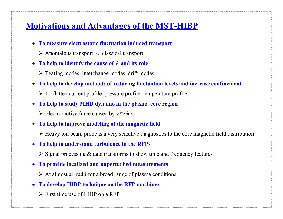## **Motivations and Advantages of the MST-HIBP**

- **To measure electrostatic fluctuation induced transport**
	- $\triangleright$  Anomalous transport  $\triangleright$  classical transport
- To help to identify the cause of  $\tilde{E}$  and its role
	- $\triangleright$  Tearing modes, interchange modes, drift modes, ...
- **To help to develop methods of reducing fluctuation levels and increase confinement**
	- $\triangleright$  To flatten current profile, pressure profile, temperature profile, ...
- **To help to study MHD dynamo in the plasma core region**
	- ► Electromotive force caused by  $\langle \tilde{v} \times \tilde{B} \rangle$
- **To help to improve modeling of the magnetic field**
	- $\triangleright$  Heavy ion beam probe is a very sensitive diagnostics to the core magnetic field distribution
- **To help to understand turbulence in the RFPs**
	- $\triangleright$  Signal processing  $\&$  data transforms to show time and frequency features
- **To provide localized and unperturbed measurements**
	- $\triangleright$  At almost all radii for a broad range of plasma conditions
- **To develop HIBP technique on the RFP machines**
	- $\triangleright$  First time use of HIBP on a RFP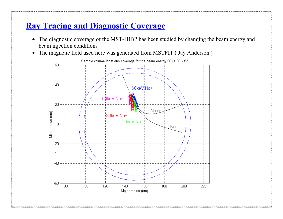# **Ray Tracing and Diagnostic Coverage**

- The diagnostic coverage of the MST-HIBP has been studied by changing the beam energy and beam injection conditions
- The magnetic field used here was generated from MSTFIT ( Jay Anderson )

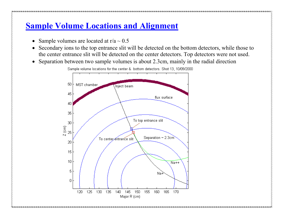## **Sample Volume Locations and Alignment**

- Sample volumes are located at  $r/a \sim 0.5$
- Secondary ions to the top entrance slit will be detected on the bottom detectors, while those to the center entrance slit will be detected on the center detectors. Top detectors were not used.
- Separation between two sample volumes is about 2.3cm, mainly in the radial direction



Sample volume locations for the center & bottom detectors. Shot 13, 10/09/2000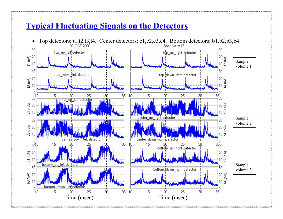#### **Typical Fluctuating Signals on the Detectors**

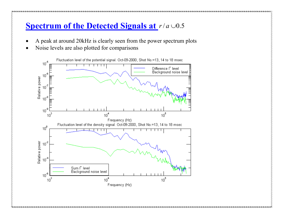## **Spectrum of the Detected Signals at** *r*/ *a* ∪0.5

- A peak at around 20kHz is clearly seen from the power spectrum plots
- Noise levels are also plotted for comparisons

![](_page_10_Figure_3.jpeg)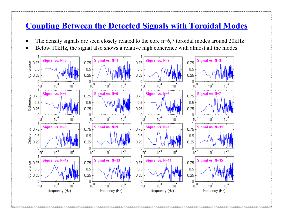### **Coupling Between the Detected Signals with Toroidal Modes**

- The density signals are seen closely related to the core n=6,7 toroidal modes around 20kHz
- Below 10kHz, the signal also shows a relative high coherence with almost all the modes

![](_page_11_Figure_3.jpeg)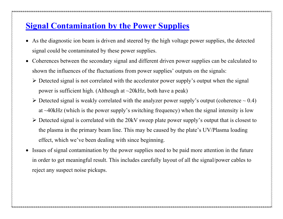### **Signal Contamination by the Power Supplies**

- As the diagnostic ion beam is driven and steered by the high voltage power supplies, the detected signal could be contaminated by these power supplies.
- Coherences between the secondary signal and different driven power supplies can be calculated to shown the influences of the fluctuations from power supplies' outputs on the signals:
	- $\triangleright$  Detected signal is not correlated with the accelerator power supply's output when the signal power is sufficient high. (Although at ~20kHz, both have a peak)
	- $\triangleright$  Detected signal is weakly correlated with the analyzer power supply's output (coherence  $\sim 0.4$ ) at ~40kHz (which is the power supply's switching frequency) when the signal intensity is low
	- $\triangleright$  Detected signal is correlated with the 20kV sweep plate power supply's output that is closest to the plasma in the primary beam line. This may be caused by the plate's UV/Plasma loading effect, which we've been dealing with since beginning.
- Issues of signal contamination by the power supplies need to be paid more attention in the future in order to get meaningful result. This includes carefully layout of all the signal/power cables to reject any suspect noise pickups.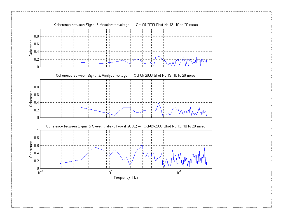![](_page_13_Figure_0.jpeg)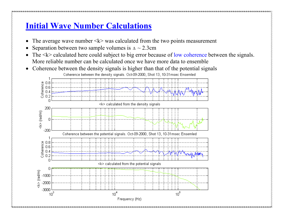# **Initial Wave Number Calculations**

- The average wave number  $\langle k \rangle$  was calculated from the two points measurement
- Separation between two sample volumes is  $\Delta \sim 2.3$ cm
- The  $\langle k \rangle$  calculated here could subject to big error because of low coherence between the signals. More reliable number can be calculated once we have more data to ensemble
- Coherence between the density signals is higher than that of the potential signals Coherence between the density signals, Oct-09-2000, Shot 13, 10-31 msec Ensemled

![](_page_14_Figure_5.jpeg)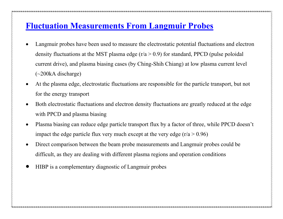### **Fluctuation Measurements From Langmuir Probes**

- Langmuir probes have been used to measure the electrostatic potential fluctuations and electron density fluctuations at the MST plasma edge  $(r/a > 0.9)$  for standard, PPCD (pulse poloidal current drive), and plasma biasing cases (by Ching-Shih Chiang) at low plasma current level (~200kA discharge)
- At the plasma edge, electrostatic fluctuations are responsible for the particle transport, but not for the energy transport
- Both electrostatic fluctuations and electron density fluctuations are greatly reduced at the edge with PPCD and plasma biasing
- Plasma biasing can reduce edge particle transport flux by a factor of three, while PPCD doesn't impact the edge particle flux very much except at the very edge  $(r/a > 0.96)$
- Direct comparison between the beam probe measurements and Langmuir probes could be difficult, as they are dealing with different plasma regions and operation conditions
- HIBP is a complementary diagnostic of Langmuir probes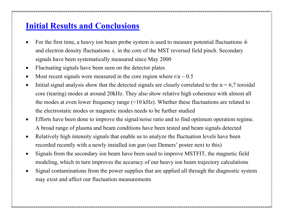## **Initial Results and Conclusions**

- For the first time, a heavy ion beam probe system is used to measure potential fluctuations  $\tilde{\Phi}$ and electron density fluctuations  $\tilde{n}_{e}$  in the core of the MST reversed field pinch. Secondary signals have been systematically measured since May 2000
- Fluctuating signals have been seen on the detector plates
- Most recent signals were measured in the core region where  $r/a \sim 0.5$
- Initial signal analysis show that the detected signals are closely correlated to the  $n = 6.7$  toroidal core (tearing) modes at around 20kHz. They also show relative high coherence with almost all the modes at even lower frequency range (<10 kHz). Whether these fluctuations are related to the electrostatic modes or magnetic modes needs to be further studied
- Efforts have been done to improve the signal/noise ratio and to find optimum operation regime. A broad range of plasma and beam conditions have been tested and beam signals detected
- Relatively high intensity signals that enable us to analyze the fluctuation levels have been recorded recently with a newly installed ion gun (see Demers' poster next to this)
- Signals from the secondary ion beam have been used to improve MSTFIT, the magnetic field modeling, which in turn improves the accuracy of our heavy ion beam trajectory calculations
- Signal contaminations from the power supplies that are applied all through the diagnostic system may exist and affect our fluctuation measurements